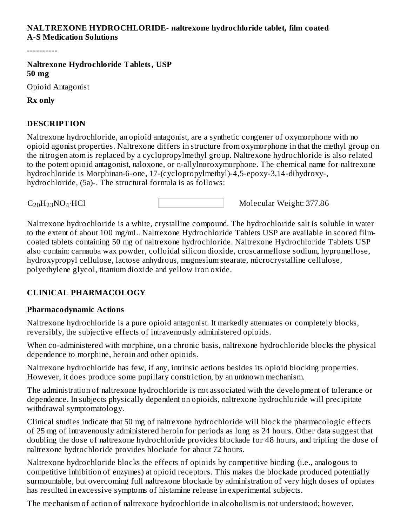#### **NALTREXONE HYDROCHLORIDE- naltrexone hydrochloride tablet, film coated A-S Medication Solutions**

----------

**Naltrexone Hydrochloride Tablets, USP 50 mg**

Opioid Antagonist

**Rx only**

#### **DESCRIPTION**

Naltrexone hydrochloride, an opioid antagonist, are a synthetic congener of oxymorphone with no opioid agonist properties. Naltrexone differs in structure from oxymorphone in that the methyl group on the nitrogen atom is replaced by a cyclopropylmethyl group. Naltrexone hydrochloride is also related to the potent opioid antagonist, naloxone, or n-allylnoroxymorphone. The chemical name for naltrexone hydrochloride is Morphinan-6-one, 17-(cyclopropylmethyl)-4,5-epoxy-3,14-dihydroxy-, hydrochloride, (5a)-. The structural formula is as follows:

 $C_{20}H_{23}NO_4 \cdot HCl$ 

Molecular Weight: 377.86

Naltrexone hydrochloride is a white, crystalline compound. The hydrochloride salt is soluble in water to the extent of about 100 mg/mL. Naltrexone Hydrochloride Tablets USP are available in scored filmcoated tablets containing 50 mg of naltrexone hydrochloride. Naltrexone Hydrochloride Tablets USP also contain: carnauba wax powder, colloidal silicon dioxide, croscarmellose sodium, hypromellose, hydroxypropyl cellulose, lactose anhydrous, magnesium stearate, microcrystalline cellulose, polyethylene glycol, titanium dioxide and yellow iron oxide.

#### **CLINICAL PHARMACOLOGY**

#### **Pharmacodynamic Actions**

Naltrexone hydrochloride is a pure opioid antagonist. It markedly attenuates or completely blocks, reversibly, the subjective effects of intravenously administered opioids.

When co-administered with morphine, on a chronic basis, naltrexone hydrochloride blocks the physical dependence to morphine, heroin and other opioids.

Naltrexone hydrochloride has few, if any, intrinsic actions besides its opioid blocking properties. However, it does produce some pupillary constriction, by an unknown mechanism.

The administration of naltrexone hydrochloride is not associated with the development of tolerance or dependence. In subjects physically dependent on opioids, naltrexone hydrochloride will precipitate withdrawal symptomatology.

Clinical studies indicate that 50 mg of naltrexone hydrochloride will block the pharmacologic effects of 25 mg of intravenously administered heroin for periods as long as 24 hours. Other data suggest that doubling the dose of naltrexone hydrochloride provides blockade for 48 hours, and tripling the dose of naltrexone hydrochloride provides blockade for about 72 hours.

Naltrexone hydrochloride blocks the effects of opioids by competitive binding (i.e., analogous to competitive inhibition of enzymes) at opioid receptors. This makes the blockade produced potentially surmountable, but overcoming full naltrexone blockade by administration of very high doses of opiates has resulted in excessive symptoms of histamine release in experimental subjects.

The mechanism of action of naltrexone hydrochloride in alcoholism is not understood; however,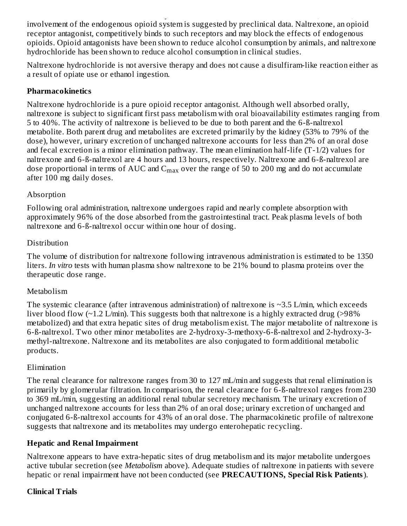The mechanism of action of naltrexone hydrochloride in alcoholism is not understood; however, involvement of the endogenous opioid system is suggested by preclinical data. Naltrexone, an opioid receptor antagonist, competitively binds to such receptors and may block the effects of endogenous opioids. Opioid antagonists have been shown to reduce alcohol consumption by animals, and naltrexone hydrochloride has been shown to reduce alcohol consumption in clinical studies.

Naltrexone hydrochloride is not aversive therapy and does not cause a disulfiram-like reaction either as a result of opiate use or ethanol ingestion.

#### **Pharmacokinetics**

Naltrexone hydrochloride is a pure opioid receptor antagonist. Although well absorbed orally, naltrexone is subject to significant first pass metabolism with oral bioavailability estimates ranging from 5 to 40%. The activity of naltrexone is believed to be due to both parent and the 6-ß-naltrexol metabolite. Both parent drug and metabolites are excreted primarily by the kidney (53% to 79% of the dose), however, urinary excretion of unchanged naltrexone accounts for less than 2% of an oral dose and fecal excretion is a minor elimination pathway. The mean elimination half-life (T-1/2) values for naltrexone and 6-ß-naltrexol are 4 hours and 13 hours, respectively. Naltrexone and 6-ß-naltrexol are dose proportional in terms of AUC and  $\rm C_{max}$  over the range of 50 to 200 mg and do not accumulate after 100 mg daily doses.

#### Absorption

Following oral administration, naltrexone undergoes rapid and nearly complete absorption with approximately 96% of the dose absorbed from the gastrointestinal tract. Peak plasma levels of both naltrexone and 6-ß-naltrexol occur within one hour of dosing.

#### Distribution

The volume of distribution for naltrexone following intravenous administration is estimated to be 1350 liters. *In vitro* tests with human plasma show naltrexone to be 21% bound to plasma proteins over the therapeutic dose range.

#### Metabolism

The systemic clearance (after intravenous administration) of naltrexone is  $\sim$ 3.5 L/min, which exceeds liver blood flow  $(\sim 1.2 \text{ L/min})$ . This suggests both that naltrexone is a highly extracted drug (>98%) metabolized) and that extra hepatic sites of drug metabolism exist. The major metabolite of naltrexone is 6-ß-naltrexol. Two other minor metabolites are 2-hydroxy-3-methoxy-6-ß-naltrexol and 2-hydroxy-3 methyl-naltrexone. Naltrexone and its metabolites are also conjugated to form additional metabolic products.

#### Elimination

The renal clearance for naltrexone ranges from 30 to 127 mL/min and suggests that renal elimination is primarily by glomerular filtration. In comparison, the renal clearance for 6-ß-naltrexol ranges from 230 to 369 mL/min, suggesting an additional renal tubular secretory mechanism. The urinary excretion of unchanged naltrexone accounts for less than 2% of an oral dose; urinary excretion of unchanged and conjugated 6-ß-naltrexol accounts for 43% of an oral dose. The pharmacokinetic profile of naltrexone suggests that naltrexone and its metabolites may undergo enterohepatic recycling.

## **Hepatic and Renal Impairment**

Naltrexone appears to have extra-hepatic sites of drug metabolism and its major metabolite undergoes active tubular secretion (see *Metabolism* above). Adequate studies of naltrexone in patients with severe hepatic or renal impairment have not been conducted (see **PRECAUTIONS, Special Risk Patients**).

## **Clinical Trials**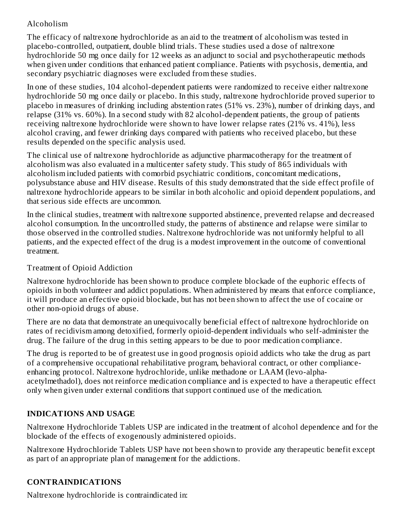## Alcoholism

The efficacy of naltrexone hydrochloride as an aid to the treatment of alcoholism was tested in placebo-controlled, outpatient, double blind trials. These studies used a dose of naltrexone hydrochloride 50 mg once daily for 12 weeks as an adjunct to social and psychotherapeutic methods when given under conditions that enhanced patient compliance. Patients with psychosis, dementia, and secondary psychiatric diagnoses were excluded from these studies.

In one of these studies, 104 alcohol-dependent patients were randomized to receive either naltrexone hydrochloride 50 mg once daily or placebo. In this study, naltrexone hydrochloride proved superior to placebo in measures of drinking including abstention rates (51% vs. 23%), number of drinking days, and relapse (31% vs. 60%). In a second study with 82 alcohol-dependent patients, the group of patients receiving naltrexone hydrochloride were shown to have lower relapse rates (21% vs. 41%), less alcohol craving, and fewer drinking days compared with patients who received placebo, but these results depended on the specific analysis used.

The clinical use of naltrexone hydrochloride as adjunctive pharmacotherapy for the treatment of alcoholism was also evaluated in a multicenter safety study. This study of 865 individuals with alcoholism included patients with comorbid psychiatric conditions, concomitant medications, polysubstance abuse and HIV disease. Results of this study demonstrated that the side effect profile of naltrexone hydrochloride appears to be similar in both alcoholic and opioid dependent populations, and that serious side effects are uncommon.

In the clinical studies, treatment with naltrexone supported abstinence, prevented relapse and decreased alcohol consumption. In the uncontrolled study, the patterns of abstinence and relapse were similar to those observed in the controlled studies. Naltrexone hydrochloride was not uniformly helpful to all patients, and the expected effect of the drug is a modest improvement in the outcome of conventional treatment.

#### Treatment of Opioid Addiction

Naltrexone hydrochloride has been shown to produce complete blockade of the euphoric effects of opioids in both volunteer and addict populations. When administered by means that enforce compliance, it will produce an effective opioid blockade, but has not been shown to affect the use of cocaine or other non-opioid drugs of abuse.

There are no data that demonstrate an unequivocally beneficial effect of naltrexone hydrochloride on rates of recidivism among detoxified, formerly opioid-dependent individuals who self-administer the drug. The failure of the drug in this setting appears to be due to poor medication compliance.

The drug is reported to be of greatest use in good prognosis opioid addicts who take the drug as part of a comprehensive occupational rehabilitative program, behavioral contract, or other complianceenhancing protocol. Naltrexone hydrochloride, unlike methadone or LAAM (levo-alphaacetylmethadol), does not reinforce medication compliance and is expected to have a therapeutic effect only when given under external conditions that support continued use of the medication.

## **INDICATIONS AND USAGE**

Naltrexone Hydrochloride Tablets USP are indicated in the treatment of alcohol dependence and for the blockade of the effects of exogenously administered opioids.

Naltrexone Hydrochloride Tablets USP have not been shown to provide any therapeutic benefit except as part of an appropriate plan of management for the addictions.

## **CONTRAINDICATIONS**

Naltrexone hydrochloride is contraindicated in: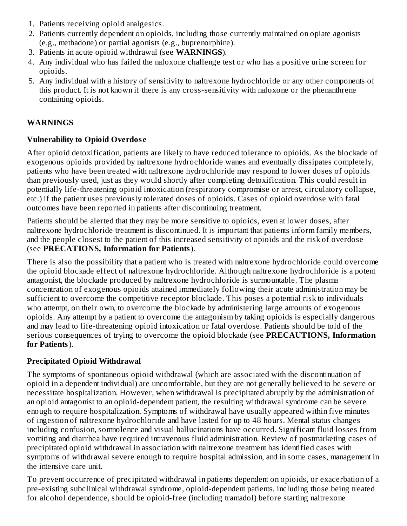- 1. Patients receiving opioid analgesics.
- 2. Patients currently dependent on opioids, including those currently maintained on opiate agonists (e.g., methadone) or partial agonists (e.g., buprenorphine).
- 3. Patients in acute opioid withdrawal (see **WARNINGS**).
- 4. Any individual who has failed the naloxone challenge test or who has a positive urine screen for opioids.
- 5. Any individual with a history of sensitivity to naltrexone hydrochloride or any other components of this product. It is not known if there is any cross-sensitivity with naloxone or the phenanthrene containing opioids.

#### **WARNINGS**

#### **Vulnerability to Opioid Overdos e**

After opioid detoxification, patients are likely to have reduced tolerance to opioids. As the blockade of exogenous opioids provided by naltrexone hydrochloride wanes and eventually dissipates completely, patients who have been treated with naltrexone hydrochloride may respond to lower doses of opioids than previously used, just as they would shortly after completing detoxification. This could result in potentially life-threatening opioid intoxication (respiratory compromise or arrest, circulatory collapse, etc.) if the patient uses previously tolerated doses of opioids. Cases of opioid overdose with fatal outcomes have been reported in patients after discontinuing treatment.

Patients should be alerted that they may be more sensitive to opioids, even at lower doses, after naltrexone hydrochloride treatment is discontinued. It is important that patients inform family members, and the people closest to the patient of this increased sensitivity ot opioids and the risk of overdose (see **PRECATIONS, Information for Patients**).

There is also the possibility that a patient who is treated with naltrexone hydrochloride could overcome the opioid blockade effect of naltrexone hydrochloride. Although naltrexone hydrochloride is a potent antagonist, the blockade produced by naltrexone hydrochloride is surmountable. The plasma concentration of exogenous opioids attained immediately following their acute administration may be sufficient to overcome the competitive receptor blockade. This poses a potential risk to individuals who attempt, on their own, to overcome the blockade by administering large amounts of exogenous opioids. Any attempt by a patient to overcome the antagonism by taking opioids is especially dangerous and may lead to life-threatening opioid intoxication or fatal overdose. Patients should be told of the serious consequences of trying to overcome the opioid blockade (see **PRECAUTIONS, Information for Patients**).

#### **Precipitated Opioid Withdrawal**

The symptoms of spontaneous opioid withdrawal (which are associated with the discontinuation of opioid in a dependent individual) are uncomfortable, but they are not generally believed to be severe or necessitate hospitalization. However, when withdrawal is precipitated abruptly by the administration of an opioid antagonist to an opioid-dependent patient, the resulting withdrawal syndrome can be severe enough to require hospitalization. Symptoms of withdrawal have usually appeared within five minutes of ingestion of naltrexone hydrochloride and have lasted for up to 48 hours. Mental status changes including confusion, somnolence and visual hallucinations have occurred. Significant fluid losses from vomiting and diarrhea have required intravenous fluid administration. Review of postmarketing cases of precipitated opioid withdrawal in association with naltrexone treatment has identified cases with symptoms of withdrawal severe enough to require hospital admission, and in some cases, management in the intensive care unit.

To prevent occurrence of precipitated withdrawal in patients dependent on opioids, or exacerbation of a pre-existing subclinical withdrawal syndrome, opioid-dependent patients, including those being treated for alcohol dependence, should be opioid-free (including tramadol) before starting naltrexone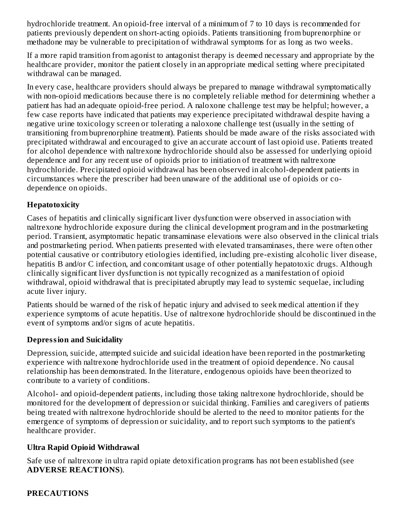hydrochloride treatment. An opioid-free interval of a minimum of 7 to 10 days is recommended for patients previously dependent on short-acting opioids. Patients transitioning from buprenorphine or methadone may be vulnerable to precipitation of withdrawal symptoms for as long as two weeks.

If a more rapid transition from agonist to antagonist therapy is deemed necessary and appropriate by the healthcare provider, monitor the patient closely in an appropriate medical setting where precipitated withdrawal can be managed.

In every case, healthcare providers should always be prepared to manage withdrawal symptomatically with non-opioid medications because there is no completely reliable method for determining whether a patient has had an adequate opioid-free period. A naloxone challenge test may be helpful; however, a few case reports have indicated that patients may experience precipitated withdrawal despite having a negative urine toxicology screen or tolerating a naloxone challenge test (usually in the setting of transitioning from buprenorphine treatment). Patients should be made aware of the risks associated with precipitated withdrawal and encouraged to give an accurate account of last opioid use. Patients treated for alcohol dependence with naltrexone hydrochloride should also be assessed for underlying opioid dependence and for any recent use of opioids prior to initiation of treatment with naltrexone hydrochloride. Precipitated opioid withdrawal has been observed in alcohol-dependent patients in circumstances where the prescriber had been unaware of the additional use of opioids or codependence on opioids.

#### **Hepatotoxicity**

Cases of hepatitis and clinically significant liver dysfunction were observed in association with naltrexone hydrochloride exposure during the clinical development program and in the postmarketing period. Transient, asymptomatic hepatic transaminase elevations were also observed in the clinical trials and postmarketing period. When patients presented with elevated transaminases, there were often other potential causative or contributory etiologies identified, including pre-existing alcoholic liver disease, hepatitis B and/or C infection, and concomitant usage of other potentially hepatotoxic drugs. Although clinically significant liver dysfunction is not typically recognized as a manifestation of opioid withdrawal, opioid withdrawal that is precipitated abruptly may lead to systemic sequelae, including acute liver injury.

Patients should be warned of the risk of hepatic injury and advised to seek medical attention if they experience symptoms of acute hepatitis. Use of naltrexone hydrochloride should be discontinued in the event of symptoms and/or signs of acute hepatitis.

#### **Depression and Suicidality**

Depression, suicide, attempted suicide and suicidal ideation have been reported in the postmarketing experience with naltrexone hydrochloride used in the treatment of opioid dependence. No causal relationship has been demonstrated. In the literature, endogenous opioids have been theorized to contribute to a variety of conditions.

Alcohol- and opioid-dependent patients, including those taking naltrexone hydrochloride, should be monitored for the development of depression or suicidal thinking. Families and caregivers of patients being treated with naltrexone hydrochloride should be alerted to the need to monitor patients for the emergence of symptoms of depression or suicidality, and to report such symptoms to the patient's healthcare provider.

#### **Ultra Rapid Opioid Withdrawal**

Safe use of naltrexone in ultra rapid opiate detoxification programs has not been established (see **ADVERSE REACTIONS**).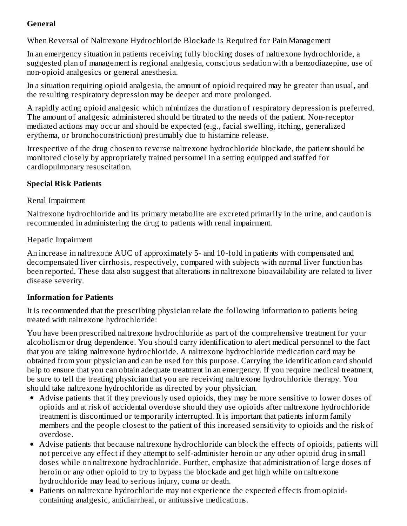## **General**

When Reversal of Naltrexone Hydrochloride Blockade is Required for Pain Management

In an emergency situation in patients receiving fully blocking doses of naltrexone hydrochloride, a suggested plan of management is regional analgesia, conscious sedation with a benzodiazepine, use of non-opioid analgesics or general anesthesia.

In a situation requiring opioid analgesia, the amount of opioid required may be greater than usual, and the resulting respiratory depression may be deeper and more prolonged.

A rapidly acting opioid analgesic which minimizes the duration of respiratory depression is preferred. The amount of analgesic administered should be titrated to the needs of the patient. Non-receptor mediated actions may occur and should be expected (e.g., facial swelling, itching, generalized erythema, or bronchoconstriction) presumably due to histamine release.

Irrespective of the drug chosen to reverse naltrexone hydrochloride blockade, the patient should be monitored closely by appropriately trained personnel in a setting equipped and staffed for cardiopulmonary resuscitation.

#### **Special Risk Patients**

#### Renal Impairment

Naltrexone hydrochloride and its primary metabolite are excreted primarily in the urine, and caution is recommended in administering the drug to patients with renal impairment.

#### Hepatic Impairment

An increase in naltrexone AUC of approximately 5- and 10-fold in patients with compensated and decompensated liver cirrhosis, respectively, compared with subjects with normal liver function has been reported. These data also suggest that alterations in naltrexone bioavailability are related to liver disease severity.

## **Information for Patients**

It is recommended that the prescribing physician relate the following information to patients being treated with naltrexone hydrochloride:

You have been prescribed naltrexone hydrochloride as part of the comprehensive treatment for your alcoholism or drug dependence. You should carry identification to alert medical personnel to the fact that you are taking naltrexone hydrochloride. A naltrexone hydrochloride medication card may be obtained from your physician and can be used for this purpose. Carrying the identification card should help to ensure that you can obtain adequate treatment in an emergency. If you require medical treatment, be sure to tell the treating physician that you are receiving naltrexone hydrochloride therapy. You should take naltrexone hydrochloride as directed by your physician.

- Advise patients that if they previously used opioids, they may be more sensitive to lower doses of opioids and at risk of accidental overdose should they use opioids after naltrexone hydrochloride treatment is discontinued or temporarily interrupted. It is important that patients inform family members and the people closest to the patient of this increased sensitivity to opioids and the risk of overdose.
- Advise patients that because naltrexone hydrochloride can block the effects of opioids, patients will not perceive any effect if they attempt to self-administer heroin or any other opioid drug in small doses while on naltrexone hydrochloride. Further, emphasize that administration of large doses of heroin or any other opioid to try to bypass the blockade and get high while on naltrexone hydrochloride may lead to serious injury, coma or death.
- Patients on naltrexone hydrochloride may not experience the expected effects from opioidcontaining analgesic, antidiarrheal, or antitussive medications.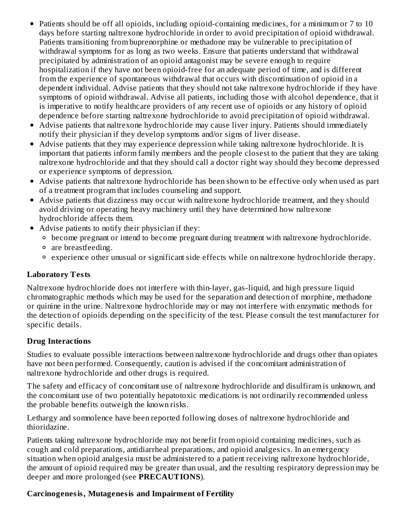- Patients should be off all opioids, including opioid-containing medicines, for a minimum or 7 to 10 days before starting naltrexone hydrochloride in order to avoid precipitation of opioid withdrawal. Patients transitioning from buprenorphine or methadone may be vulnerable to precipitation of withdrawal symptoms for as long as two weeks. Ensure that patients understand that withdrawal precipitated by administration of an opioid antagonist may be severe enough to require hospitalization if they have not been opioid-free for an adequate period of time, and is different from the experience of spontaneous withdrawal that occurs with discontinuation of opioid in a dependent individual. Advise patients that they should not take naltrexone hydrochloride if they have symptoms of opioid withdrawal. Advise all patients, including those with alcohol dependence, that it is imperative to notify healthcare providers of any recent use of opioids or any history of opioid dependence before starting naltrexone hydrochloride to avoid precipitation of opioid withdrawal.
- Advise patients that naltrexone hydrochloride may cause liver injury. Patients should immediately notify their physician if they develop symptoms and/or signs of liver disease.
- Advise patients that they may experience depression while taking naltrexone hydrochloride. It is important that patients inform family members and the people closest to the patient that they are taking naltrexone hydrochloride and that they should call a doctor right way should they become depressed or experience symptoms of depression.
- Advise patients that naltrexone hydrochloride has been shown to be effective only when used as part of a treatment program that includes counseling and support.
- Advise patients that dizziness may occur with naltrexone hydrochloride treatment, and they should avoid driving or operating heavy machinery until they have determined how naltrexone hydrochloride affects them.
- Advise patients to notify their physician if they:
	- become pregnant or intend to become pregnant during treatment with naltrexone hydrochloride.
	- are breastfeeding.
	- experience other unusual or significant side effects while on naltrexone hydrochloride therapy.

#### **Laboratory Tests**

Naltrexone hydrochloride does not interfere with thin-layer, gas-liquid, and high pressure liquid chromatographic methods which may be used for the separation and detection of morphine, methadone or quinine in the urine. Naltrexone hydrochloride may or may not interfere with enzymatic methods for the detection of opioids depending on the specificity of the test. Please consult the test manufacturer for specific details.

## **Drug Interactions**

Studies to evaluate possible interactions between naltrexone hydrochloride and drugs other than opiates have not been performed. Consequently, caution is advised if the concomitant administration of naltrexone hydrochloride and other drugs is required.

The safety and efficacy of concomitant use of naltrexone hydrochloride and disulfiram is unknown, and the concomitant use of two potentially hepatotoxic medications is not ordinarily recommended unless the probable benefits outweigh the known risks.

Lethargy and somnolence have been reported following doses of naltrexone hydrochloride and thioridazine.

Patients taking naltrexone hydrochloride may not benefit from opioid containing medicines, such as cough and cold preparations, antidiarrheal preparations, and opioid analgesics. In an emergency situation when opioid analgesia must be administered to a patient receiving naltrexone hydrochloride, the amount of opioid required may be greater than usual, and the resulting respiratory depression may be deeper and more prolonged (see **PRECAUTIONS**).

## **Carcinogenesis, Mutagenesis and Impairment of Fertility**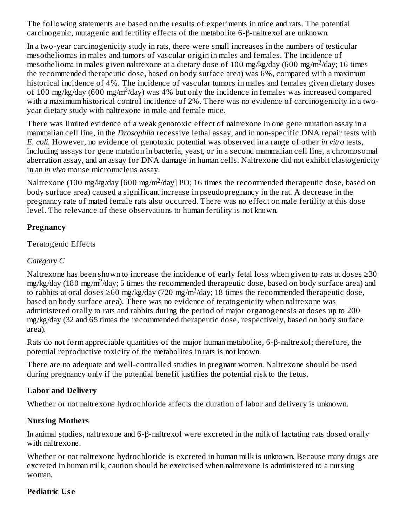The following statements are based on the results of experiments in mice and rats. The potential carcinogenic, mutagenic and fertility effects of the metabolite 6-β-naltrexol are unknown.

In a two-year carcinogenicity study in rats, there were small increases in the numbers of testicular mesotheliomas in males and tumors of vascular origin in males and females. The incidence of mesothelioma in males given naltrexone at a dietary dose of 100 mg/kg/day (600 mg/m<sup>2</sup>/day; 16 times the recommended therapeutic dose, based on body surface area) was 6%, compared with a maximum historical incidence of 4%. The incidence of vascular tumors in males and females given dietary doses of 100 mg/kg/day (600 mg/m<sup>2</sup>/day) was 4% but only the incidence in females was increased compared with a maximum historical control incidence of 2%. There was no evidence of carcinogenicity in a twoyear dietary study with naltrexone in male and female mice.

There was limited evidence of a weak genotoxic effect of naltrexone in one gene mutation assay in a mammalian cell line, in the *Drosophila* recessive lethal assay, and in non-specific DNA repair tests with *E. coli*. However, no evidence of genotoxic potential was observed in a range of other *in vitro* tests, including assays for gene mutation in bacteria, yeast, or in a second mammalian cell line, a chromosomal aberration assay, and an assay for DNA damage in human cells. Naltrexone did not exhibit clastogenicity in an *in vivo* mouse micronucleus assay.

Naltrexone (100 mg/kg/day [600 mg/m<sup>2</sup>/day] PO; 16 times the recommended therapeutic dose, based on body surface area) caused a significant increase in pseudopregnancy in the rat. A decrease in the pregnancy rate of mated female rats also occurred. There was no effect on male fertility at this dose level. The relevance of these observations to human fertility is not known.

#### **Pregnancy**

#### Teratogenic Effects

#### *Category C*

Naltrexone has been shown to increase the incidence of early fetal loss when given to rats at doses  $\geq 30$ mg/kg/day (180 mg/m<sup>2</sup>/day; 5 times the recommended therapeutic dose, based on body surface area) and to rabbits at oral doses  $\geq 60$  mg/kg/day (720 mg/m<sup>2</sup>/day; 18 times the recommended therapeutic dose, based on body surface area). There was no evidence of teratogenicity when naltrexone was administered orally to rats and rabbits during the period of major organogenesis at doses up to 200 mg/kg/day (32 and 65 times the recommended therapeutic dose, respectively, based on body surface area).

Rats do not form appreciable quantities of the major human metabolite, 6-β-naltrexol; therefore, the potential reproductive toxicity of the metabolites in rats is not known.

There are no adequate and well-controlled studies in pregnant women. Naltrexone should be used during pregnancy only if the potential benefit justifies the potential risk to the fetus.

## **Labor and Delivery**

Whether or not naltrexone hydrochloride affects the duration of labor and delivery is unknown.

## **Nursing Mothers**

In animal studies, naltrexone and 6-β-naltrexol were excreted in the milk of lactating rats dosed orally with naltrexone.

Whether or not naltrexone hydrochloride is excreted in human milk is unknown. Because many drugs are excreted in human milk, caution should be exercised when naltrexone is administered to a nursing woman.

## **Pediatric Us e**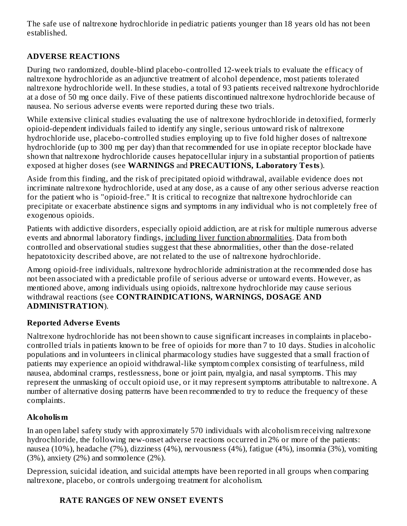The safe use of naltrexone hydrochloride in pediatric patients younger than 18 years old has not been established.

## **ADVERSE REACTIONS**

During two randomized, double-blind placebo-controlled 12-week trials to evaluate the efficacy of naltrexone hydrochloride as an adjunctive treatment of alcohol dependence, most patients tolerated naltrexone hydrochloride well. In these studies, a total of 93 patients received naltrexone hydrochloride at a dose of 50 mg once daily. Five of these patients discontinued naltrexone hydrochloride because of nausea. No serious adverse events were reported during these two trials.

While extensive clinical studies evaluating the use of naltrexone hydrochloride in detoxified, formerly opioid-dependent individuals failed to identify any single, serious untoward risk of naltrexone hydrochloride use, placebo-controlled studies employing up to five fold higher doses of naltrexone hydrochloride (up to 300 mg per day) than that recommended for use in opiate receptor blockade have shown that naltrexone hydrochloride causes hepatocellular injury in a substantial proportion of patients exposed at higher doses (see **WARNINGS** and **PRECAUTIONS, Laboratory Tests**).

Aside from this finding, and the risk of precipitated opioid withdrawal, available evidence does not incriminate naltrexone hydrochloride, used at any dose, as a cause of any other serious adverse reaction for the patient who is "opioid-free." It is critical to recognize that naltrexone hydrochloride can precipitate or exacerbate abstinence signs and symptoms in any individual who is not completely free of exogenous opioids.

Patients with addictive disorders, especially opioid addiction, are at risk for multiple numerous adverse events and abnormal laboratory findings, including liver function abnormalities. Data from both controlled and observational studies suggest that these abnormalities, other than the dose-related hepatotoxicity described above, are not related to the use of naltrexone hydrochloride.

Among opioid-free individuals, naltrexone hydrochloride administration at the recommended dose has not been associated with a predictable profile of serious adverse or untoward events. However, as mentioned above, among individuals using opioids, naltrexone hydrochloride may cause serious withdrawal reactions (see **CONTRAINDICATIONS, WARNINGS, DOSAGE AND ADMINISTRATION**).

#### **Reported Advers e Events**

Naltrexone hydrochloride has not been shown to cause significant increases in complaints in placebocontrolled trials in patients known to be free of opioids for more than 7 to 10 days. Studies in alcoholic populations and in volunteers in clinical pharmacology studies have suggested that a small fraction of patients may experience an opioid withdrawal-like symptom complex consisting of tearfulness, mild nausea, abdominal cramps, restlessness, bone or joint pain, myalgia, and nasal symptoms. This may represent the unmasking of occult opioid use, or it may represent symptoms attributable to naltrexone. A number of alternative dosing patterns have been recommended to try to reduce the frequency of these complaints.

## **Alcoholism**

In an open label safety study with approximately 570 individuals with alcoholism receiving naltrexone hydrochloride, the following new-onset adverse reactions occurred in 2% or more of the patients: nausea (10%), headache (7%), dizziness (4%), nervousness (4%), fatigue (4%), insomnia (3%), vomiting (3%), anxiety (2%) and somnolence (2%).

Depression, suicidal ideation, and suicidal attempts have been reported in all groups when comparing naltrexone, placebo, or controls undergoing treatment for alcoholism.

## **RATE RANGES OF NEW ONSET EVENTS**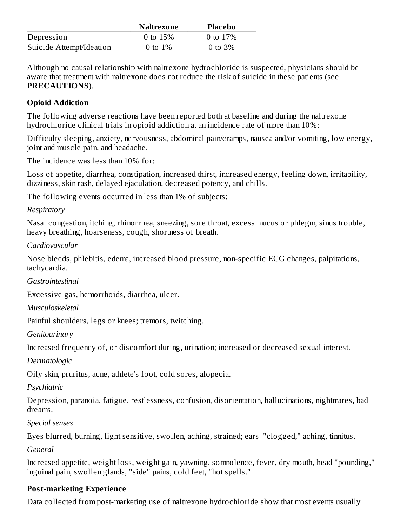|                          | Naltrexone | <b>Placebo</b> |
|--------------------------|------------|----------------|
| Depression               | 0 to $15%$ | 0 to $17%$     |
| Suicide Attempt/Ideation | 0 to $1\%$ | 0 to $3\%$     |

Although no causal relationship with naltrexone hydrochloride is suspected, physicians should be aware that treatment with naltrexone does not reduce the risk of suicide in these patients (see **PRECAUTIONS**).

## **Opioid Addiction**

The following adverse reactions have been reported both at baseline and during the naltrexone hydrochloride clinical trials in opioid addiction at an incidence rate of more than 10%:

Difficulty sleeping, anxiety, nervousness, abdominal pain/cramps, nausea and/or vomiting, low energy, joint and muscle pain, and headache.

The incidence was less than 10% for:

Loss of appetite, diarrhea, constipation, increased thirst, increased energy, feeling down, irritability, dizziness, skin rash, delayed ejaculation, decreased potency, and chills.

The following events occurred in less than 1% of subjects:

*Respiratory*

Nasal congestion, itching, rhinorrhea, sneezing, sore throat, excess mucus or phlegm, sinus trouble, heavy breathing, hoarseness, cough, shortness of breath.

*Cardiovascular*

Nose bleeds, phlebitis, edema, increased blood pressure, non-specific ECG changes, palpitations, tachycardia.

*Gastrointestinal*

Excessive gas, hemorrhoids, diarrhea, ulcer.

*Musculoskeletal*

Painful shoulders, legs or knees; tremors, twitching.

*Genitourinary*

Increased frequency of, or discomfort during, urination; increased or decreased sexual interest.

*Dermatologic*

Oily skin, pruritus, acne, athlete's foot, cold sores, alopecia.

*Psychiatric*

Depression, paranoia, fatigue, restlessness, confusion, disorientation, hallucinations, nightmares, bad dreams.

*Special senses*

Eyes blurred, burning, light sensitive, swollen, aching, strained; ears–"clogged," aching, tinnitus.

*General*

Increased appetite, weight loss, weight gain, yawning, somnolence, fever, dry mouth, head "pounding," inguinal pain, swollen glands, "side" pains, cold feet, "hot spells."

## **Post-marketing Experience**

Data collected from post-marketing use of naltrexone hydrochloride show that most events usually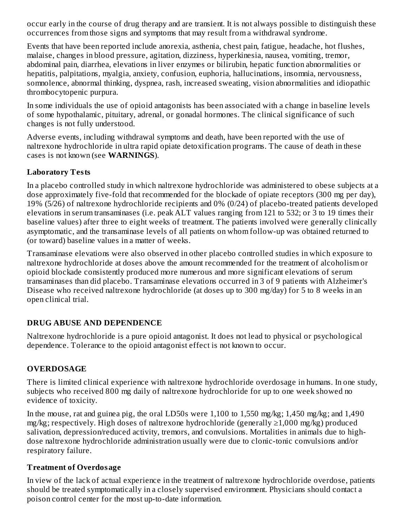occur early in the course of drug therapy and are transient. It is not always possible to distinguish these occurrences from those signs and symptoms that may result from a withdrawal syndrome.

Events that have been reported include anorexia, asthenia, chest pain, fatigue, headache, hot flushes, malaise, changes in blood pressure, agitation, dizziness, hyperkinesia, nausea, vomiting, tremor, abdominal pain, diarrhea, elevations in liver enzymes or bilirubin, hepatic function abnormalities or hepatitis, palpitations, myalgia, anxiety, confusion, euphoria, hallucinations, insomnia, nervousness, somnolence, abnormal thinking, dyspnea, rash, increased sweating, vision abnormalities and idiopathic thrombocytopenic purpura.

In some individuals the use of opioid antagonists has been associated with a change in baseline levels of some hypothalamic, pituitary, adrenal, or gonadal hormones. The clinical significance of such changes is not fully understood.

Adverse events, including withdrawal symptoms and death, have been reported with the use of naltrexone hydrochloride in ultra rapid opiate detoxification programs. The cause of death in these cases is not known (see **WARNINGS**).

#### **Laboratory Tests**

In a placebo controlled study in which naltrexone hydrochloride was administered to obese subjects at a dose approximately five-fold that recommended for the blockade of opiate receptors (300 mg per day), 19% (5/26) of naltrexone hydrochloride recipients and 0% (0/24) of placebo-treated patients developed elevations in serum transaminases (i.e. peak ALT values ranging from 121 to 532; or 3 to 19 times their baseline values) after three to eight weeks of treatment. The patients involved were generally clinically asymptomatic, and the transaminase levels of all patients on whom follow-up was obtained returned to (or toward) baseline values in a matter of weeks.

Transaminase elevations were also observed in other placebo controlled studies in which exposure to naltrexone hydrochloride at doses above the amount recommended for the treatment of alcoholism or opioid blockade consistently produced more numerous and more significant elevations of serum transaminases than did placebo. Transaminase elevations occurred in 3 of 9 patients with Alzheimer's Disease who received naltrexone hydrochloride (at doses up to 300 mg/day) for 5 to 8 weeks in an open clinical trial.

## **DRUG ABUSE AND DEPENDENCE**

Naltrexone hydrochloride is a pure opioid antagonist. It does not lead to physical or psychological dependence. Tolerance to the opioid antagonist effect is not known to occur.

## **OVERDOSAGE**

There is limited clinical experience with naltrexone hydrochloride overdosage in humans. In one study, subjects who received 800 mg daily of naltrexone hydrochloride for up to one week showed no evidence of toxicity.

In the mouse, rat and guinea pig, the oral LD50s were 1,100 to 1,550 mg/kg; 1,450 mg/kg; and 1,490 mg/kg; respectively. High doses of naltrexone hydrochloride (generally ≥1,000 mg/kg) produced salivation, depression/reduced activity, tremors, and convulsions. Mortalities in animals due to highdose naltrexone hydrochloride administration usually were due to clonic-tonic convulsions and/or respiratory failure.

## **Treatment of Overdosage**

In view of the lack of actual experience in the treatment of naltrexone hydrochloride overdose, patients should be treated symptomatically in a closely supervised environment. Physicians should contact a poison control center for the most up-to-date information.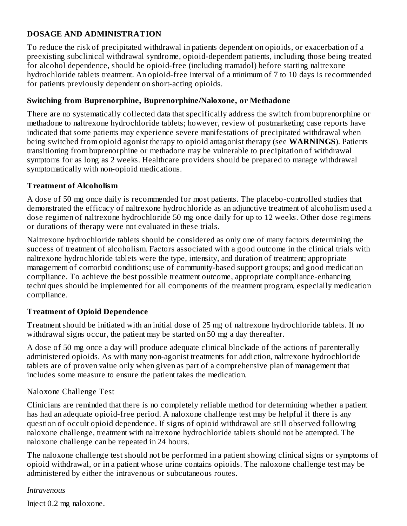#### **DOSAGE AND ADMINISTRATION**

To reduce the risk of precipitated withdrawal in patients dependent on opioids, or exacerbation of a preexisting subclinical withdrawal syndrome, opioid-dependent patients, including those being treated for alcohol dependence, should be opioid-free (including tramadol) before starting naltrexone hydrochloride tablets treatment. An opioid-free interval of a minimum of 7 to 10 days is recommended for patients previously dependent on short-acting opioids.

#### **Switching from Buprenorphine, Buprenorphine/Naloxone, or Methadone**

There are no systematically collected data that specifically address the switch from buprenorphine or methadone to naltrexone hydrochloride tablets; however, review of postmarketing case reports have indicated that some patients may experience severe manifestations of precipitated withdrawal when being switched from opioid agonist therapy to opioid antagonist therapy (see **WARNINGS**). Patients transitioning from buprenorphine or methadone may be vulnerable to precipitation of withdrawal symptoms for as long as 2 weeks. Healthcare providers should be prepared to manage withdrawal symptomatically with non-opioid medications.

#### **Treatment of Alcoholism**

A dose of 50 mg once daily is recommended for most patients. The placebo-controlled studies that demonstrated the efficacy of naltrexone hydrochloride as an adjunctive treatment of alcoholism used a dose regimen of naltrexone hydrochloride 50 mg once daily for up to 12 weeks. Other dose regimens or durations of therapy were not evaluated in these trials.

Naltrexone hydrochloride tablets should be considered as only one of many factors determining the success of treatment of alcoholism. Factors associated with a good outcome in the clinical trials with naltrexone hydrochloride tablets were the type, intensity, and duration of treatment; appropriate management of comorbid conditions; use of community-based support groups; and good medication compliance. To achieve the best possible treatment outcome, appropriate compliance-enhancing techniques should be implemented for all components of the treatment program, especially medication compliance.

#### **Treatment of Opioid Dependence**

Treatment should be initiated with an initial dose of 25 mg of naltrexone hydrochloride tablets. If no withdrawal signs occur, the patient may be started on 50 mg a day thereafter.

A dose of 50 mg once a day will produce adequate clinical blockade of the actions of parenterally administered opioids. As with many non-agonist treatments for addiction, naltrexone hydrochloride tablets are of proven value only when given as part of a comprehensive plan of management that includes some measure to ensure the patient takes the medication.

#### Naloxone Challenge Test

Clinicians are reminded that there is no completely reliable method for determining whether a patient has had an adequate opioid-free period. A naloxone challenge test may be helpful if there is any question of occult opioid dependence. If signs of opioid withdrawal are still observed following naloxone challenge, treatment with naltrexone hydrochloride tablets should not be attempted. The naloxone challenge can be repeated in 24 hours.

The naloxone challenge test should not be performed in a patient showing clinical signs or symptoms of opioid withdrawal, or in a patient whose urine contains opioids. The naloxone challenge test may be administered by either the intravenous or subcutaneous routes.

#### *Intravenous*

Inject 0.2 mg naloxone.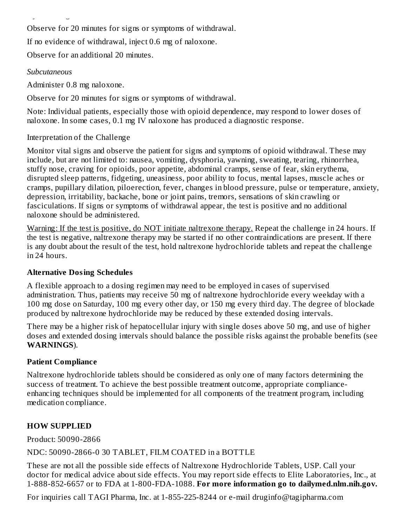Observe for 20 minutes for signs or symptoms of withdrawal.

If no evidence of withdrawal, inject 0.6 mg of naloxone.

Observe for an additional 20 minutes.

#### *Subcutaneous*

Administer 0.8 mg naloxone.

Inject 0.2 mg naloxone.

Observe for 20 minutes for signs or symptoms of withdrawal.

Note: Individual patients, especially those with opioid dependence, may respond to lower doses of naloxone. In some cases, 0.1 mg IV naloxone has produced a diagnostic response.

## Interpretation of the Challenge

Monitor vital signs and observe the patient for signs and symptoms of opioid withdrawal. These may include, but are not limited to: nausea, vomiting, dysphoria, yawning, sweating, tearing, rhinorrhea, stuffy nose, craving for opioids, poor appetite, abdominal cramps, sense of fear, skin erythema, disrupted sleep patterns, fidgeting, uneasiness, poor ability to focus, mental lapses, muscle aches or cramps, pupillary dilation, piloerection, fever, changes in blood pressure, pulse or temperature, anxiety, depression, irritability, backache, bone or joint pains, tremors, sensations of skin crawling or fasciculations. If signs or symptoms of withdrawal appear, the test is positive and no additional naloxone should be administered.

Warning: If the test is positive, do NOT initiate naltrexone therapy. Repeat the challenge in 24 hours. If the test is negative, naltrexone therapy may be started if no other contraindications are present. If there is any doubt about the result of the test, hold naltrexone hydrochloride tablets and repeat the challenge in 24 hours.

## **Alternative Dosing Schedules**

A flexible approach to a dosing regimen may need to be employed in cases of supervised administration. Thus, patients may receive 50 mg of naltrexone hydrochloride every weekday with a 100 mg dose on Saturday, 100 mg every other day, or 150 mg every third day. The degree of blockade produced by naltrexone hydrochloride may be reduced by these extended dosing intervals.

There may be a higher risk of hepatocellular injury with single doses above 50 mg, and use of higher doses and extended dosing intervals should balance the possible risks against the probable benefits (see **WARNINGS**).

## **Patient Compliance**

Naltrexone hydrochloride tablets should be considered as only one of many factors determining the success of treatment. To achieve the best possible treatment outcome, appropriate complianceenhancing techniques should be implemented for all components of the treatment program, including medication compliance.

## **HOW SUPPLIED**

Product: 50090-2866

NDC: 50090-2866-0 30 TABLET, FILM COATED in a BOTTLE

These are not all the possible side effects of Naltrexone Hydrochloride Tablets, USP. Call your doctor for medical advice about side effects. You may report side effects to Elite Laboratories, Inc., at 1-888-852-6657 or to FDA at 1-800-FDA-1088. **For more information go to dailymed.nlm.nih.gov.**

For inquiries call TAGI Pharma, Inc. at 1-855-225-8244 or e-mail druginfo@tagipharma.com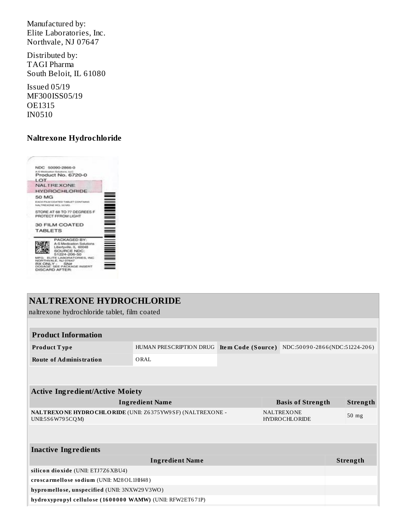Manufactured by: Elite Laboratories, Inc. Northvale, NJ 07647

Distributed by: TAGI Pharma South Beloit, IL 61080

Issued 05/19 MF300ISS05/19 OE1315 IN0510

#### **Naltrexone Hydrochloride**



## **NALTREXONE HYDROCHLORIDE**

naltrexone hydrochloride tablet, film coated

| <b>Product Information</b>                                                    |                         |                                           |                          |                               |         |                 |
|-------------------------------------------------------------------------------|-------------------------|-------------------------------------------|--------------------------|-------------------------------|---------|-----------------|
| Product Type                                                                  | HUMAN PRESCRIPTION DRUG | Item Code (Source)                        |                          | NDC:50090-2866(NDC:51224-206) |         |                 |
| <b>Route of Administration</b>                                                | ORAL                    |                                           |                          |                               |         |                 |
|                                                                               |                         |                                           |                          |                               |         |                 |
| <b>Active Ingredient/Active Moiety</b>                                        |                         |                                           |                          |                               |         |                 |
| <b>Ingredient Name</b>                                                        |                         |                                           | <b>Basis of Strength</b> |                               |         | <b>Strength</b> |
| NALTREXONE HYDROCHLORIDE (UNII: Z6375YW9SF) (NALTREXONE -<br>UNII:5S6W795CQM) |                         | <b>NALTREXONE</b><br><b>HYDROCHLORIDE</b> |                          |                               | $50$ mg |                 |
|                                                                               |                         |                                           |                          |                               |         |                 |
| <b>Inactive Ingredients</b>                                                   |                         |                                           |                          |                               |         |                 |
| <b>Ingredient Name</b>                                                        |                         |                                           |                          | Strength                      |         |                 |
| silicon dioxide (UNII: ETJ7Z6XBU4)                                            |                         |                                           |                          |                               |         |                 |
| croscarmellose sodium (UNII: M28OL1HH48)                                      |                         |                                           |                          |                               |         |                 |
| hypromellose, unspecified (UNII: 3NXW29V3WO)                                  |                         |                                           |                          |                               |         |                 |
| hydroxypropyl cellulose (1600000 WAMW) (UNII: RFW2ET671P)                     |                         |                                           |                          |                               |         |                 |
|                                                                               |                         |                                           |                          |                               |         |                 |